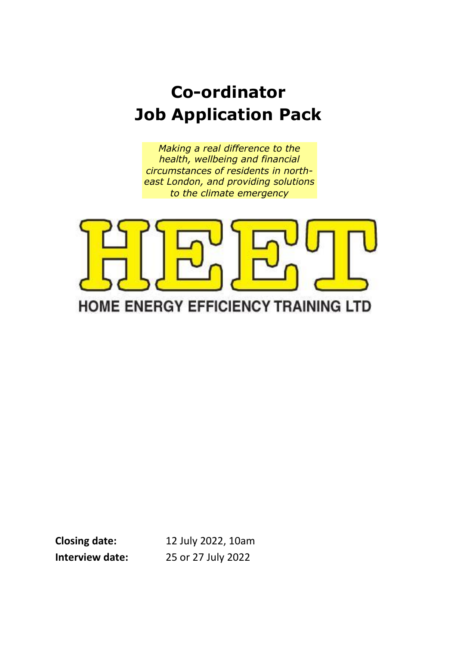# **Co-ordinator Job Application Pack**

*Making a real difference to the health, wellbeing and financial circumstances of residents in northeast London, and providing solutions to the climate emergency*



**Closing date:** 12 July 2022, 10am **Interview date:** 25 or 27 July 2022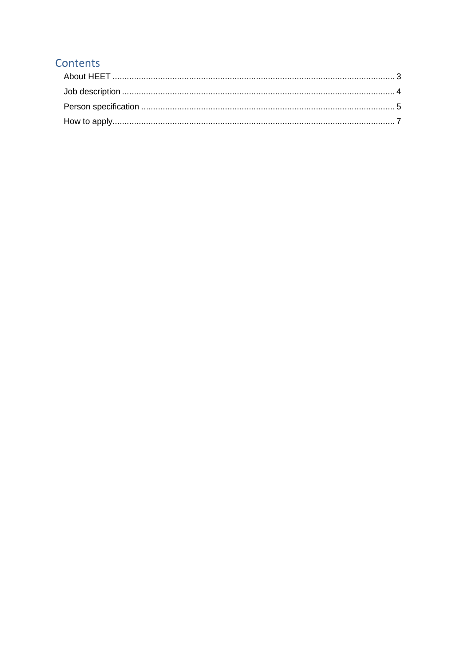### Contents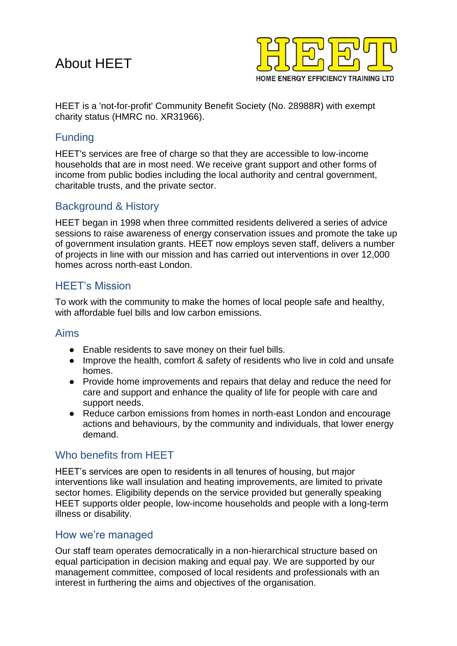### <span id="page-2-0"></span>About HEET



HEET is a 'not-for-profit' Community Benefit Society (No. 28988R) with exempt charity status (HMRC no. XR31966).

#### Funding

HEET's services are free of charge so that they are accessible to low-income households that are in most need. We receive grant support and other forms of income from public bodies including the local authority and central government, charitable trusts, and the private sector.

#### Background & History

HEET began in 1998 when three committed residents delivered a series of advice sessions to raise awareness of energy conservation issues and promote the take up of government insulation grants. HEET now employs seven staff, delivers a number of projects in line with our mission and has carried out interventions in over 12,000 homes across north-east London.

#### HEET's Mission

To work with the community to make the homes of local people safe and healthy, with affordable fuel bills and low carbon emissions.

#### Aims

- Enable residents to save money on their fuel bills.
- Improve the health, comfort & safety of residents who live in cold and unsafe homes.
- Provide home improvements and repairs that delay and reduce the need for care and support and enhance the quality of life for people with care and support needs.
- Reduce carbon emissions from homes in north-east London and encourage actions and behaviours, by the community and individuals, that lower energy demand.

#### Who benefits from HEET

HEET's services are open to residents in all tenures of housing, but major interventions like wall insulation and heating improvements, are limited to private sector homes. Eligibility depends on the service provided but generally speaking HEET supports older people, low-income households and people with a long-term illness or disability.

#### How we're managed

Our staff team operates democratically in a non-hierarchical structure based on equal participation in decision making and equal pay. We are supported by our management committee, composed of local residents and professionals with an interest in furthering the aims and objectives of the organisation.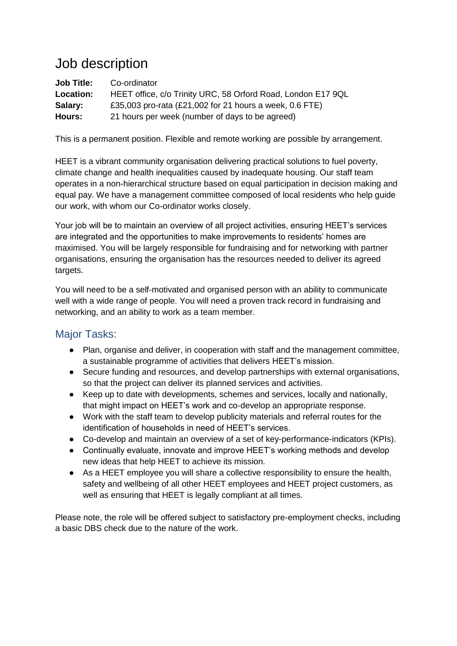### <span id="page-3-0"></span>Job description

**Job Title:** Co-ordinator **Location:** HEET office, c/o Trinity URC, 58 Orford Road, London E17 9QL **Salary:** £35,003 pro-rata (£21,002 for 21 hours a week, 0.6 FTE) **Hours:** 21 hours per week (number of days to be agreed)

This is a permanent position. Flexible and remote working are possible by arrangement.

HEET is a vibrant community organisation delivering practical solutions to fuel poverty, climate change and health inequalities caused by inadequate housing. Our staff team operates in a non-hierarchical structure based on equal participation in decision making and equal pay. We have a management committee composed of local residents who help guide our work, with whom our Co-ordinator works closely.

Your job will be to maintain an overview of all project activities, ensuring HEET's services are integrated and the opportunities to make improvements to residents' homes are maximised. You will be largely responsible for fundraising and for networking with partner organisations, ensuring the organisation has the resources needed to deliver its agreed targets.

You will need to be a self-motivated and organised person with an ability to communicate well with a wide range of people. You will need a proven track record in fundraising and networking, and an ability to work as a team member.

#### Major Tasks:

- Plan, organise and deliver, in cooperation with staff and the management committee, a sustainable programme of activities that delivers HEET's mission.
- Secure funding and resources, and develop partnerships with external organisations, so that the project can deliver its planned services and activities.
- Keep up to date with developments, schemes and services, locally and nationally, that might impact on HEET's work and co-develop an appropriate response.
- Work with the staff team to develop publicity materials and referral routes for the identification of households in need of HEET's services.
- Co-develop and maintain an overview of a set of key-performance-indicators (KPIs).
- Continually evaluate, innovate and improve HEET's working methods and develop new ideas that help HEET to achieve its mission.
- As a HEET employee you will share a collective responsibility to ensure the health, safety and wellbeing of all other HEET employees and HEET project customers, as well as ensuring that HEET is legally compliant at all times.

Please note, the role will be offered subject to satisfactory pre-employment checks, including a basic DBS check due to the nature of the work.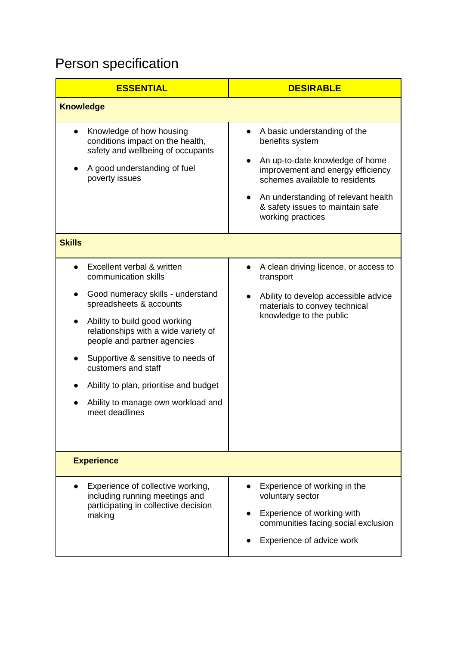## <span id="page-4-0"></span>Person specification

| <b>ESSENTIAL</b>                                                                                                                                                                                                                                                                                                                                                                          | <b>DESIRABLE</b>                                                                                                                                                                                                                                          |  |
|-------------------------------------------------------------------------------------------------------------------------------------------------------------------------------------------------------------------------------------------------------------------------------------------------------------------------------------------------------------------------------------------|-----------------------------------------------------------------------------------------------------------------------------------------------------------------------------------------------------------------------------------------------------------|--|
| <b>Knowledge</b>                                                                                                                                                                                                                                                                                                                                                                          |                                                                                                                                                                                                                                                           |  |
| Knowledge of how housing<br>conditions impact on the health,<br>safety and wellbeing of occupants<br>A good understanding of fuel<br>poverty issues                                                                                                                                                                                                                                       | A basic understanding of the<br>benefits system<br>An up-to-date knowledge of home<br>improvement and energy efficiency<br>schemes available to residents<br>An understanding of relevant health<br>& safety issues to maintain safe<br>working practices |  |
| <b>Skills</b>                                                                                                                                                                                                                                                                                                                                                                             |                                                                                                                                                                                                                                                           |  |
| Excellent verbal & written<br>communication skills<br>Good numeracy skills - understand<br>spreadsheets & accounts<br>Ability to build good working<br>relationships with a wide variety of<br>people and partner agencies<br>Supportive & sensitive to needs of<br>customers and staff<br>Ability to plan, prioritise and budget<br>Ability to manage own workload and<br>meet deadlines | A clean driving licence, or access to<br>transport<br>Ability to develop accessible advice<br>materials to convey technical<br>knowledge to the public                                                                                                    |  |
| <b>Experience</b>                                                                                                                                                                                                                                                                                                                                                                         |                                                                                                                                                                                                                                                           |  |
| Experience of collective working,<br>including running meetings and<br>participating in collective decision<br>making                                                                                                                                                                                                                                                                     | Experience of working in the<br>voluntary sector<br>Experience of working with<br>communities facing social exclusion<br>Experience of advice work                                                                                                        |  |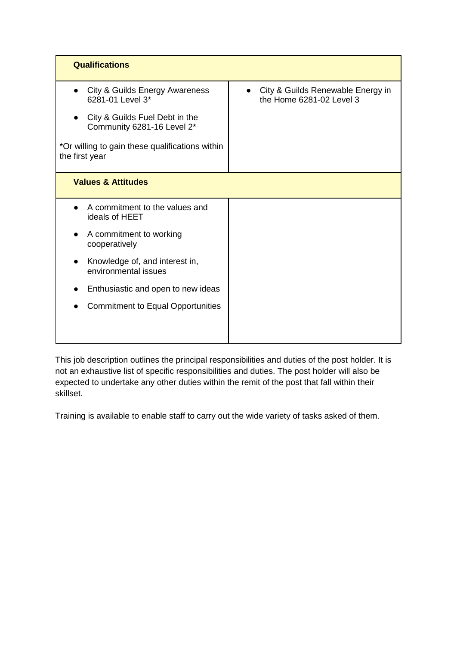| <b>Qualifications</b>                                             |                                                               |
|-------------------------------------------------------------------|---------------------------------------------------------------|
| City & Guilds Energy Awareness<br>$\bullet$<br>6281-01 Level 3*   | City & Guilds Renewable Energy in<br>the Home 6281-02 Level 3 |
| City & Guilds Fuel Debt in the<br>Community 6281-16 Level 2*      |                                                               |
| *Or willing to gain these qualifications within<br>the first year |                                                               |
| <b>Values &amp; Attitudes</b>                                     |                                                               |
| A commitment to the values and<br>ideals of HEET                  |                                                               |
| A commitment to working<br>cooperatively                          |                                                               |
| Knowledge of, and interest in,<br>environmental issues            |                                                               |
| Enthusiastic and open to new ideas                                |                                                               |
| <b>Commitment to Equal Opportunities</b>                          |                                                               |
|                                                                   |                                                               |
|                                                                   |                                                               |

This job description outlines the principal responsibilities and duties of the post holder. It is not an exhaustive list of specific responsibilities and duties. The post holder will also be expected to undertake any other duties within the remit of the post that fall within their skillset.

Training is available to enable staff to carry out the wide variety of tasks asked of them.